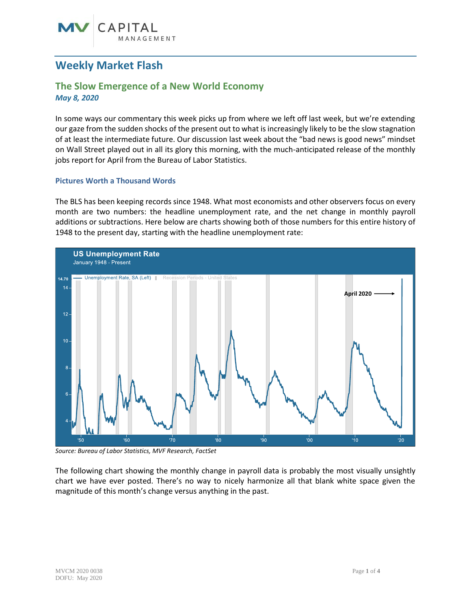# CAPITAL GEMENT

## **Weekly Market Flash**

### **The Slow Emergence of a New World Economy** *May 8, 2020*

In some ways our commentary this week picks up from where we left off last week, but we're extending our gaze from the sudden shocks of the present out to what is increasingly likely to be the slow stagnation of at least the intermediate future. Our discussion last week about the "bad news is good news" mindset on Wall Street played out in all its glory this morning, with the much-anticipated release of the monthly jobs report for April from the Bureau of Labor Statistics.

#### **Pictures Worth a Thousand Words**

The BLS has been keeping records since 1948. What most economists and other observers focus on every month are two numbers: the headline unemployment rate, and the net change in monthly payroll additions or subtractions. Here below are charts showing both of those numbers for this entire history of 1948 to the present day, starting with the headline unemployment rate:



*Source: Bureau of Labor Statistics, MVF Research, FactSet*

The following chart showing the monthly change in payroll data is probably the most visually unsightly chart we have ever posted. There's no way to nicely harmonize all that blank white space given the magnitude of this month's change versus anything in the past.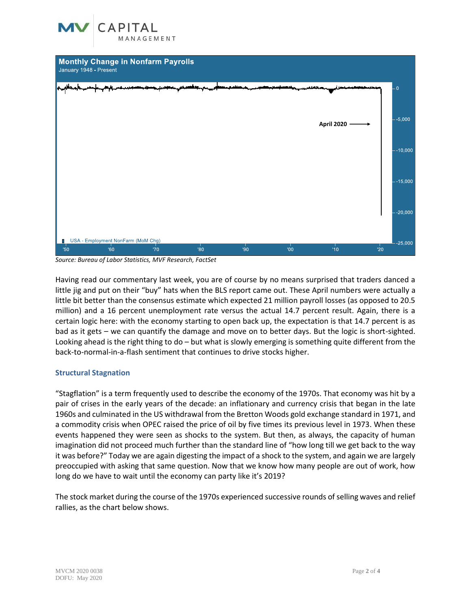



*Source: Bureau of Labor Statistics, MVF Research, FactSet*

Having read our commentary last week, you are of course by no means surprised that traders danced a little jig and put on their "buy" hats when the BLS report came out. These April numbers were actually a little bit better than the consensus estimate which expected 21 million payroll losses (as opposed to 20.5 million) and a 16 percent unemployment rate versus the actual 14.7 percent result. Again, there is a certain logic here: with the economy starting to open back up, the expectation is that 14.7 percent is as bad as it gets – we can quantify the damage and move on to better days. But the logic is short-sighted. Looking ahead is the right thing to do – but what is slowly emerging is something quite different from the back-to-normal-in-a-flash sentiment that continues to drive stocks higher.

#### **Structural Stagnation**

"Stagflation" is a term frequently used to describe the economy of the 1970s. That economy was hit by a pair of crises in the early years of the decade: an inflationary and currency crisis that began in the late 1960s and culminated in the US withdrawal from the Bretton Woods gold exchange standard in 1971, and a commodity crisis when OPEC raised the price of oil by five times its previous level in 1973. When these events happened they were seen as shocks to the system. But then, as always, the capacity of human imagination did not proceed much further than the standard line of "how long till we get back to the way it was before?" Today we are again digesting the impact of a shock to the system, and again we are largely preoccupied with asking that same question. Now that we know how many people are out of work, how long do we have to wait until the economy can party like it's 2019?

The stock market during the course of the 1970s experienced successive rounds of selling waves and relief rallies, as the chart below shows.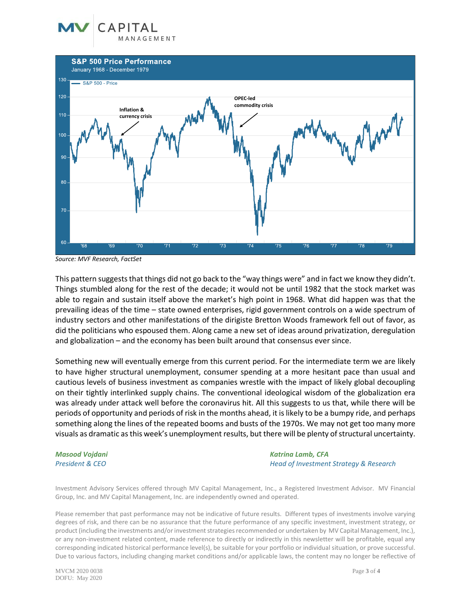





*Source: MVF Research, FactSet*

This pattern suggests that things did not go back to the "way things were" and in fact we know they didn't. Things stumbled along for the rest of the decade; it would not be until 1982 that the stock market was able to regain and sustain itself above the market's high point in 1968. What did happen was that the prevailing ideas of the time – state owned enterprises, rigid government controls on a wide spectrum of industry sectors and other manifestations of the dirigiste Bretton Woods framework fell out of favor, as did the politicians who espoused them. Along came a new set of ideas around privatization, deregulation and globalization – and the economy has been built around that consensus ever since.

Something new will eventually emerge from this current period. For the intermediate term we are likely to have higher structural unemployment, consumer spending at a more hesitant pace than usual and cautious levels of business investment as companies wrestle with the impact of likely global decoupling on their tightly interlinked supply chains. The conventional ideological wisdom of the globalization era was already under attack well before the coronavirus hit. All this suggests to us that, while there will be periods of opportunity and periods of risk in the months ahead, it is likely to be a bumpy ride, and perhaps something along the lines of the repeated booms and busts of the 1970s. We may not get too many more visuals as dramatic as this week's unemployment results, but there will be plenty of structural uncertainty.

*Masood Vojdani Katrina Lamb, CFA President & CEO Head of Investment Strategy & Research*

Investment Advisory Services offered through MV Capital Management, Inc., a Registered Investment Advisor. MV Financial Group, Inc. and MV Capital Management, Inc. are independently owned and operated.

Please remember that past performance may not be indicative of future results. Different types of investments involve varying degrees of risk, and there can be no assurance that the future performance of any specific investment, investment strategy, or product (including the investments and/or investment strategies recommended or undertaken by MV Capital Management, Inc.), or any non-investment related content, made reference to directly or indirectly in this newsletter will be profitable, equal any corresponding indicated historical performance level(s), be suitable for your portfolio or individual situation, or prove successful. Due to various factors, including changing market conditions and/or applicable laws, the content may no longer be reflective of